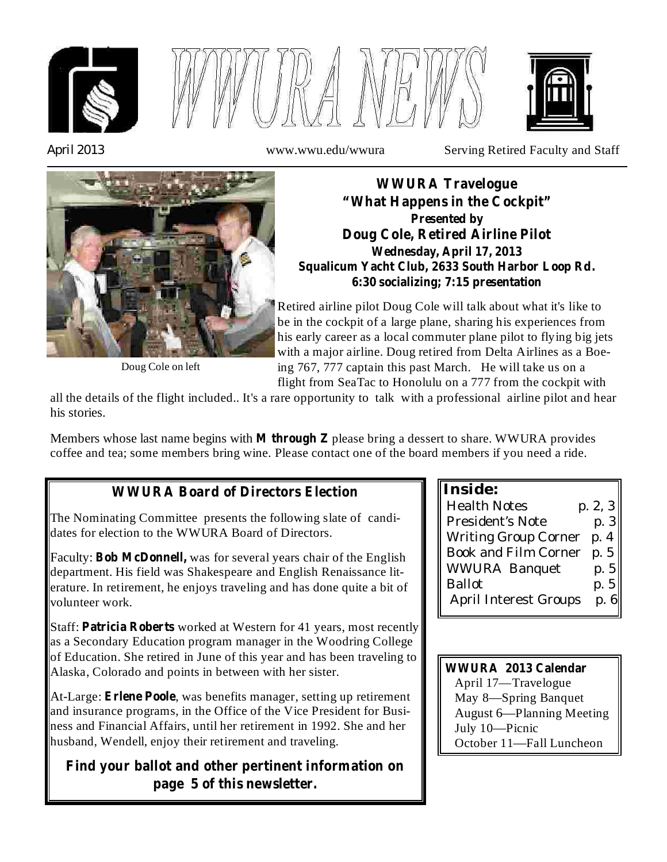





*April 2013* www.wwu.edu/wwura Serving Retired Faculty and Staff



**WWURA Travelogue "What Happens in the Cockpit" Presented by Doug Cole, Retired Airline Pilot Wednesday, April 17, 2013 Squalicum Yacht Club, 2633 South Harbor Loop Rd. 6:30 socializing; 7:15 presentation**

Retired airline pilot Doug Cole will talk about what it's like to be in the cockpit of a large plane, sharing his experiences from his early career as a local commuter plane pilot to flying big jets with a major airline. Doug retired from Delta Airlines as a Boeing 767, 777 captain this past March. He will take us on a flight from SeaTac to Honolulu on a 777 from the cockpit with

Doug Cole on left

all the details of the flight included.. It's a rare opportunity to talk with a professional airline pilot and hear his stories.

Members whose last name begins with M through Z please bring a dessert to share. WWURA provides coffee and tea; some members bring wine. Please contact one of the board members if you need a ride.

# **WWURA Board of Directors Election**

The Nominating Committee presents the following slate of candidates for election to the WWURA Board of Directors.

Faculty: Bob McDonnell, was for several years chair of the English department. His field was Shakespeare and English Renaissance literature. In retirement, he enjoys traveling and has done quite a bit of volunteer work.

Staff: Patricia Roberts worked at Western for 41 years, most recently as a Secondary Education program manager in the Woodring College of Education. She retired in June of this year and has been traveling to Alaska, Colorado and points in between with her sister.

At-Large: Erlene Poole, was benefits manager, setting up retirement and insurance programs, in the Office of the Vice President for Business and Financial Affairs, until her retirement in 1992. She and her husband, Wendell, enjoy their retirement and traveling.

## **Find your ballot and other pertinent information on page 5 of this newsletter.**

**Inside:**

| <b>Health Notes</b>          | p. 2, 3 |
|------------------------------|---------|
| President's Note             | p.3     |
| <b>Writing Group Corner</b>  | p. 4    |
| Book and Film Corner         | p.5     |
| <b>WWURA Banquet</b>         | p. $5$  |
| <b>Ballot</b>                | p.5     |
| <b>April Interest Groups</b> | p.6     |

April 17—Travelogue May 8—Spring Banquet August 6—Planning Meeting July 10—Picnic October 11—Fall Luncheon **WWURA 2013 Calendar**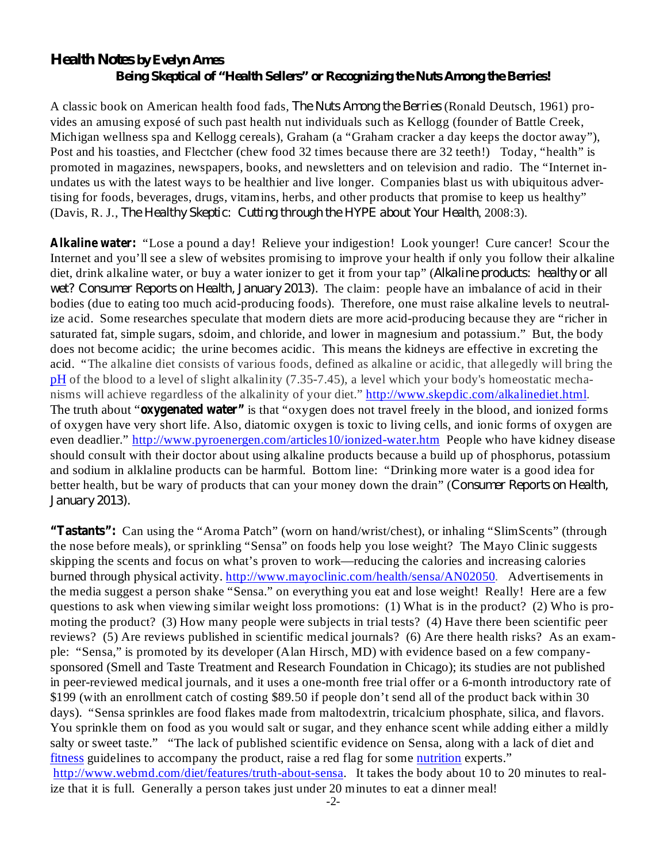#### *Health Notes by Evelyn Ames Being Skeptical of "Health Sellers" or Recognizing the Nuts Among the Berries!*

A classic book on American health food fads, *The Nuts Among the Berries* (Ronald Deutsch, 1961) provides an amusing exposé of such past health nut individuals such as Kellogg (founder of Battle Creek, Michigan wellness spa and Kellogg cereals), Graham (a "Graham cracker a day keeps the doctor away"), Post and his toasties, and Flectcher (chew food 32 times because there are 32 teeth!) Today, "health" is promoted in magazines, newspapers, books, and newsletters and on television and radio. The "Internet inundates us with the latest ways to be healthier and live longer. Companies blast us with ubiquitous advertising for foods, beverages, drugs, vitamins, herbs, and other products that promise to keep us healthy" (Davis, R. J., The Healthy Skeptic: Cutting through the HYPE about Your Health, 2008:3).

Alkaline water: "Lose a pound a day! Relieve your indigestion! Look younger! Cure cancer! Scour the Internet and you'll see a slew of websites promising to improve your health if only you follow their alkaline diet, drink alkaline water, or buy a water ionizer to get it from your tap" ( *Alkaline products: healthy or all wet? Consumer Reports on Health, January 2013).* The claim: people have an imbalance of acid in their bodies (due to eating too much acid-producing foods). Therefore, one must raise alkaline levels to neutralize acid. Some researches speculate that modern diets are more acid-producing because they are "richer in saturated fat, simple sugars, sdoim, and chloride, and lower in magnesium and potassium." But, the body does not become acidic; the urine becomes acidic. This means the kidneys are effective in excreting the acid. "The alkaline diet consists of various foods, defined as alkaline or acidic, that allegedly will bring the pH of the blood to a level of slight alkalinity (7.35-7.45), a level which your body's homeostatic mechanisms will achieve regardless of the alkalinity of your diet." http://www.skepdic.com/alkalinediet.html. The truth about "**oxygenated water"** is that "oxygen does not travel freely in the blood, and ionized forms of oxygen have very short life. Also, diatomic oxygen is toxic to living cells, and ionic forms of oxygen are even deadlier." http://www.pyroenergen.com/articles10/ionized-water.htm People who have kidney disease should consult with their doctor about using alkaline products because a build up of phosphorus, potassium and sodium in alklaline products can be harmful. Bottom line: "Drinking more water is a good idea for better health, but be wary of products that can your money down the drain" ( *Consumer Reports on Health, January 2013).*

"Tastants": Can using the "Aroma Patch" (worn on hand/wrist/chest), or inhaling "SlimScents" (through the nose before meals), or sprinkling "Sensa" on foods help you lose weight? The Mayo Clinic suggests skipping the scents and focus on what's proven to work—reducing the calories and increasing calories burned through physical activity. http://www.mayoclinic.com/health/sensa/AN02050. Advertisements in the media suggest a person shake "Sensa." on everything you eat and lose weight! Really! Here are a few questions to ask when viewing similar weight loss promotions: (1) What is in the product? (2) Who is promoting the product? (3) How many people were subjects in trial tests? (4) Have there been scientific peer reviews? (5) Are reviews published in scientific medical journals? (6) Are there health risks? As an example: "Sensa," is promoted by its developer (Alan Hirsch, MD) with evidence based on a few companysponsored (Smell and Taste Treatment and Research Foundation in Chicago); its studies are not published in peer-reviewed medical journals, and it uses a one-month free trial offer or a 6-month introductory rate of \$199 (with an enrollment catch of costing \$89.50 if people don't send all of the product back within 30 days). "Sensa sprinkles are food flakes made from maltodextrin, tricalcium phosphate, silica, and flavors. You sprinkle them on food as you would salt or sugar, and they enhance scent while adding either a mildly salty or sweet taste." "The lack of published scientific evidence on Sensa, along with a lack of diet and fitness guidelines to accompany the product, raise a red flag for some nutrition experts." http://www.webmd.com/diet/features/truth-about-sensa. It takes the body about 10 to 20 minutes to realize that it is full. Generally a person takes just under 20 minutes to eat a dinner meal!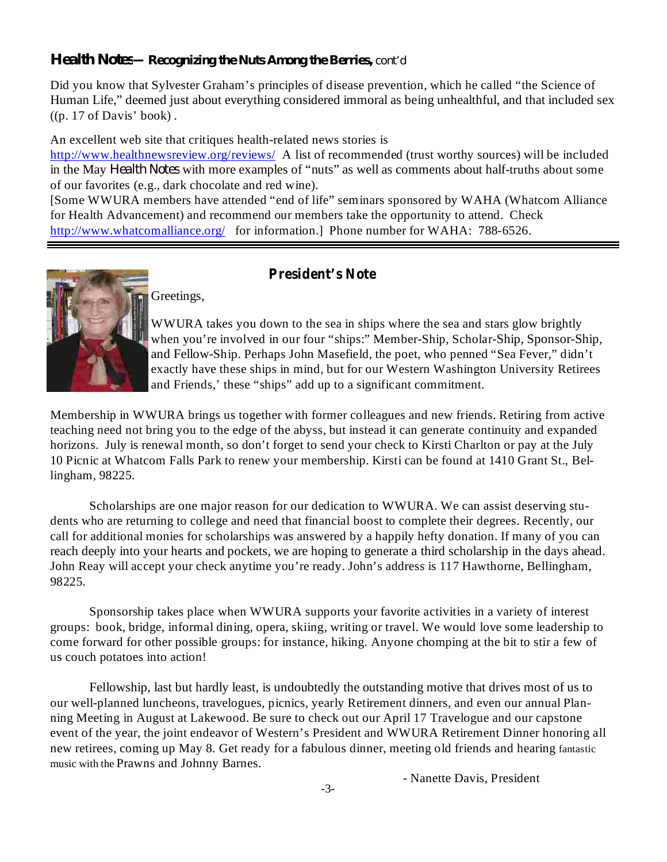#### *Health Notes***—***Recognizing the Nuts Among the Berries, cont'd*

Did you know that Sylvester Graham's principles of disease prevention, which he called "the Science of Human Life," deemed just about everything considered immoral as being unhealthful, and that included sex  $((p. 17 \text{ of Davis'} book)$ .

An excellent web site that critiques health-related news stories is

http://www.healthnewsreview.org/reviews/ A list of recommended (trust worthy sources) will be included in the May *Health Notes* with more examples of "nuts" as well as comments about half-truths about some of our favorites (e.g., dark chocolate and red wine).

[Some WWURA members have attended "end of life" seminars sponsored by WAHA (Whatcom Alliance for Health Advancement) and recommend our members take the opportunity to attend. Check http://www.whatcomalliance.org/ for information.] Phone number for WAHA: 788-6526.



#### **President's Note**

Greetings,

WWURA takes you down to the sea in ships where the sea and stars glow brightly when you're involved in our four "ships:" Member-Ship, Scholar-Ship, Sponsor-Ship, and Fellow-Ship. Perhaps John Masefield, the poet, who penned "Sea Fever," didn't exactly have these ships in mind, but for our Western Washington University Retirees and Friends,' these "ships" add up to a significant commitment.

Membership in WWURA brings us together with former colleagues and new friends. Retiring from active teaching need not bring you to the edge of the abyss, but instead it can generate continuity and expanded horizons. July is renewal month, so don't forget to send your check to Kirsti Charlton or pay at the July 10 Picnic at Whatcom Falls Park to renew your membership. Kirsti can be found at 1410 Grant St., Bellingham, 98225.

Scholarships are one major reason for our dedication to WWURA. We can assist deserving students who are returning to college and need that financial boost to complete their degrees. Recently, our call for additional monies for scholarships was answered by a happily hefty donation. If many of you can reach deeply into your hearts and pockets, we are hoping to generate a third scholarship in the days ahead. John Reay will accept your check anytime you're ready. John's address is 117 Hawthorne, Bellingham, 98225.

Sponsorship takes place when WWURA supports your favorite activities in a variety of interest groups: book, bridge, informal dining, opera, skiing, writing or travel. We would love some leadership to come forward for other possible groups: for instance, hiking. Anyone chomping at the bit to stir a few of us couch potatoes into action!

Fellowship, last but hardly least, is undoubtedly the outstanding motive that drives most of us to our well-planned luncheons, travelogues, picnics, yearly Retirement dinners, and even our annual Planning Meeting in August at Lakewood. Be sure to check out our April 17 Travelogue and our capstone event of the year, the joint endeavor of Western's President and WWURA Retirement Dinner honoring all new retirees, coming up May 8. Get ready for a fabulous dinner, meeting old friends and hearing fantastic music with the Prawns and Johnny Barnes.

- Nanette Davis, President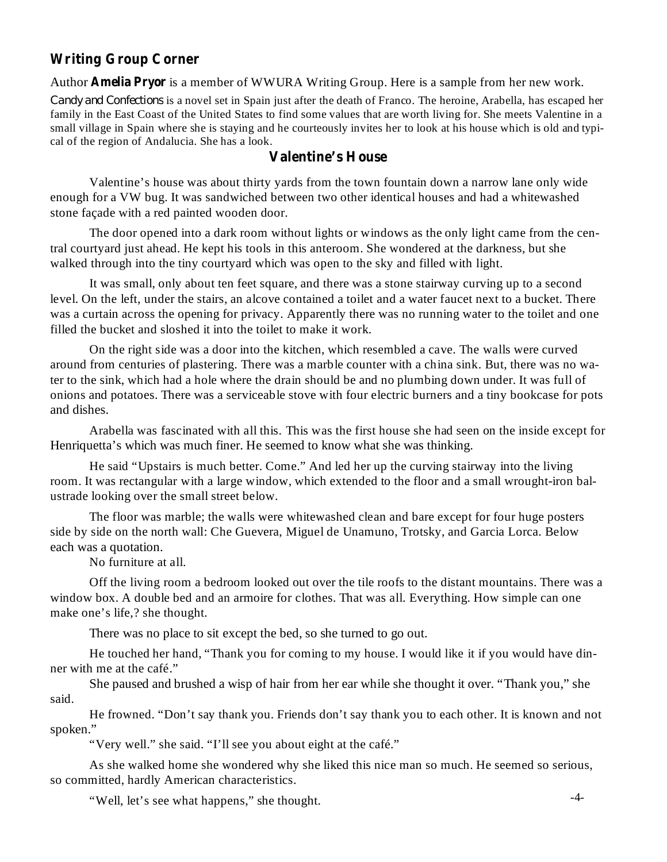### **Writing Group Corner**

Author **Amelia Pryor** is a member of WWURA Writing Group. Here is a sample from her new work.

*Candy and Confections* is a novel set in Spain just after the death of Franco. The heroine, Arabella, has escaped her family in the East Coast of the United States to find some values that are worth living for. She meets Valentine in a small village in Spain where she is staying and he courteously invites her to look at his house which is old and typical of the region of Andalucia. She has a look.

#### **Valentine's House**

Valentine's house was about thirty yards from the town fountain down a narrow lane only wide enough for a VW bug. It was sandwiched between two other identical houses and had a whitewashed stone façade with a red painted wooden door.

The door opened into a dark room without lights or windows as the only light came from the central courtyard just ahead. He kept his tools in this anteroom. She wondered at the darkness, but she walked through into the tiny courtyard which was open to the sky and filled with light.

It was small, only about ten feet square, and there was a stone stairway curving up to a second level. On the left, under the stairs, an alcove contained a toilet and a water faucet next to a bucket. There was a curtain across the opening for privacy. Apparently there was no running water to the toilet and one filled the bucket and sloshed it into the toilet to make it work.

On the right side was a door into the kitchen, which resembled a cave. The walls were curved around from centuries of plastering. There was a marble counter with a china sink. But, there was no water to the sink, which had a hole where the drain should be and no plumbing down under. It was full of onions and potatoes. There was a serviceable stove with four electric burners and a tiny bookcase for pots and dishes.

Arabella was fascinated with all this. This was the first house she had seen on the inside except for Henriquetta's which was much finer. He seemed to know what she was thinking.

He said "Upstairs is much better. Come." And led her up the curving stairway into the living room. It was rectangular with a large window, which extended to the floor and a small wrought-iron balustrade looking over the small street below.

The floor was marble; the walls were whitewashed clean and bare except for four huge posters side by side on the north wall: Che Guevera, Miguel de Unamuno, Trotsky, and Garcia Lorca. Below each was a quotation.

No furniture at all.

Off the living room a bedroom looked out over the tile roofs to the distant mountains. There was a window box. A double bed and an armoire for clothes. That was all. Everything. How simple can one make one's life,? she thought.

There was no place to sit except the bed, so she turned to go out.

He touched her hand, "Thank you for coming to my house. I would like it if you would have dinner with me at the café."

She paused and brushed a wisp of hair from her ear while she thought it over. "Thank you," she said.

He frowned. "Don't say thank you. Friends don't say thank you to each other. It is known and not spoken."

"Very well." she said. "I'll see you about eight at the café."

As she walked home she wondered why she liked this nice man so much. He seemed so serious, so committed, hardly American characteristics.

"Well, let's see what happens," she thought.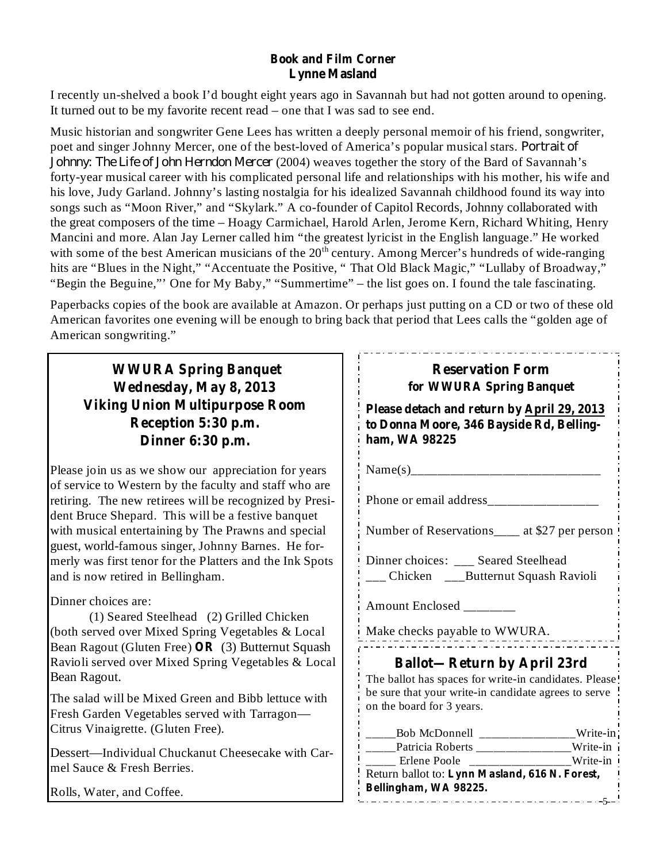#### **Book and Film Corner Lynne Masland**

I recently un-shelved a book I'd bought eight years ago in Savannah but had not gotten around to opening. It turned out to be my favorite recent read – one that I was sad to see end.

Music historian and songwriter Gene Lees has written a deeply personal memoir of his friend, songwriter, poet and singer Johnny Mercer, one of the best-loved of America's popular musical stars. *Portrait of Johnny: The Life of John Herndon Mercer* (2004) weaves together the story of the Bard of Savannah's forty-year musical career with his complicated personal life and relationships with his mother, his wife and his love, Judy Garland. Johnny's lasting nostalgia for his idealized Savannah childhood found its way into songs such as "Moon River," and "Skylark." A co-founder of Capitol Records, Johnny collaborated with the great composers of the time – Hoagy Carmichael, Harold Arlen, Jerome Kern, Richard Whiting, Henry Mancini and more. Alan Jay Lerner called him "the greatest lyricist in the English language." He worked with some of the best American musicians of the  $20<sup>th</sup>$  century. Among Mercer's hundreds of wide-ranging hits are "Blues in the Night," "Accentuate the Positive, " That Old Black Magic," "Lullaby of Broadway," "Begin the Beguine,"' One for My Baby," "Summertime" – the list goes on. I found the tale fascinating.

Paperbacks copies of the book are available at Amazon. Or perhaps just putting on a CD or two of these old American favorites one evening will be enough to bring back that period that Lees calls the "golden age of American songwriting."

**WWURA Spring Banquet Wednesday, May 8, 2013 Viking Union Multipurpose Room Reception 5:30 p.m. Dinner 6:30 p.m.**

Please join us as we show our appreciation for years of service to Western by the faculty and staff who are retiring. The new retirees will be recognized by President Bruce Shepard. This will be a festive banquet with musical entertaining by The Prawns and special guest, world-famous singer, Johnny Barnes. He formerly was first tenor for the Platters and the Ink Spots and is now retired in Bellingham.

Dinner choices are:

(1) Seared Steelhead (2) Grilled Chicken (both served over Mixed Spring Vegetables & Local Bean Ragout (Gluten Free) OR (3) Butternut Squash Ravioli served over Mixed Spring Vegetables & Local Bean Ragout.

The salad will be Mixed Green and Bibb lettuce with Fresh Garden Vegetables served with Tarragon— Citrus Vinaigrette. (Gluten Free).

Dessert—Individual Chuckanut Cheesecake with Carmel Sauce & Fresh Berries.

Rolls, Water, and Coffee.

| <b>Reservation Form</b><br>for WWURA Spring Banquet                                                     |  |
|---------------------------------------------------------------------------------------------------------|--|
| Please detach and return by April 29, 2013<br>to Donna Moore, 346 Bayside Rd, Belling-<br>ham, WA 98225 |  |
|                                                                                                         |  |
|                                                                                                         |  |
| Number of Reservations _____ at \$27 per person                                                         |  |
| Dinner choices: ___ Seared Steelhead<br>___ Chicken ___Butternut Squash Ravioli                         |  |
| Amount Enclosed _____                                                                                   |  |
| Make checks payable to WWURA.                                                                           |  |
| <b>Ballot-Return by April 23rd</b>                                                                      |  |
| The ballot has spaces for write-in candidates. Please                                                   |  |
| be sure that your write-in candidate agrees to serve                                                    |  |
| on the board for 3 years.                                                                               |  |
| _____Bob McDonnell ______________Write-in                                                               |  |
| _____Patricia Roberts ______________Write-in                                                            |  |
| ________________Write-in<br>Erlene Poole                                                                |  |
| Return ballot to: Lynn Masland, 616 N. Forest,                                                          |  |
| Bellingham, WA 98225.                                                                                   |  |

-5-